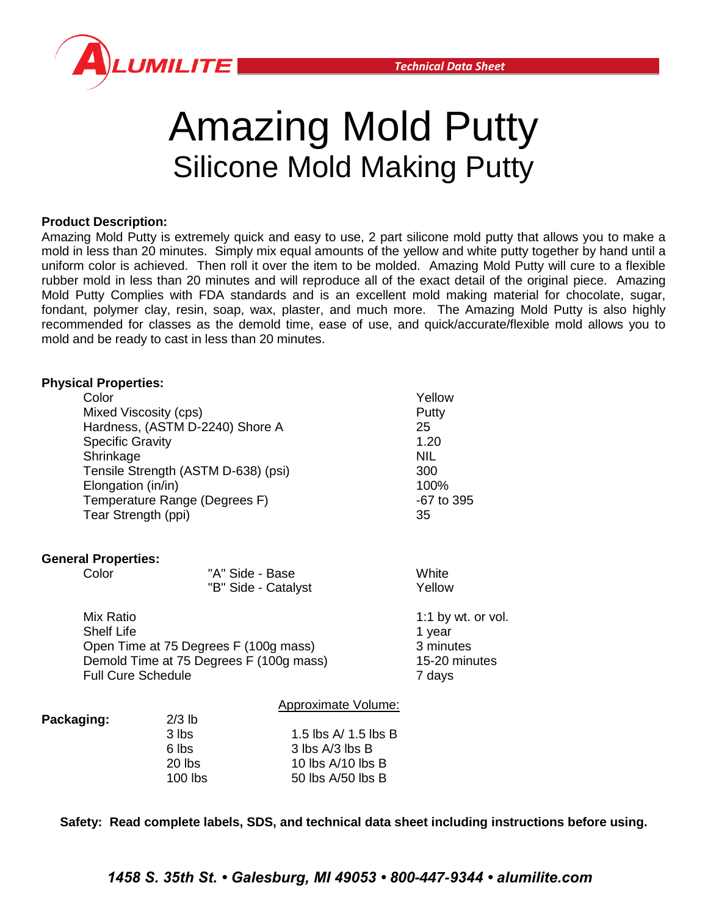

# Amazing Mold Putty Silicone Mold Making Putty

# **Product Description:**

Amazing Mold Putty is extremely quick and easy to use, 2 part silicone mold putty that allows you to make a mold in less than 20 minutes. Simply mix equal amounts of the yellow and white putty together by hand until a uniform color is achieved. Then roll it over the item to be molded. Amazing Mold Putty will cure to a flexible rubber mold in less than 20 minutes and will reproduce all of the exact detail of the original piece. Amazing Mold Putty Complies with FDA standards and is an excellent mold making material for chocolate, sugar, fondant, polymer clay, resin, soap, wax, plaster, and much more. The Amazing Mold Putty is also highly recommended for classes as the demold time, ease of use, and quick/accurate/flexible mold allows you to mold and be ready to cast in less than 20 minutes.

### **Physical Properties:**

| Color                               |                                         |                            | Yellow                 |
|-------------------------------------|-----------------------------------------|----------------------------|------------------------|
|                                     | Mixed Viscosity (cps)                   |                            |                        |
|                                     | Hardness, (ASTM D-2240) Shore A         |                            |                        |
|                                     | <b>Specific Gravity</b>                 |                            |                        |
|                                     | Shrinkage                               |                            |                        |
| Tensile Strength (ASTM D-638) (psi) |                                         |                            | 300                    |
| Elongation (in/in)                  |                                         |                            | 100%                   |
| Temperature Range (Degrees F)       |                                         |                            | -67 to 395             |
| Tear Strength (ppi)                 |                                         |                            | 35                     |
| <b>General Properties:</b>          |                                         |                            |                        |
| Color                               |                                         | "A" Side - Base            | White                  |
|                                     |                                         | "B" Side - Catalyst        | Yellow                 |
| Mix Ratio                           |                                         |                            | 1:1 by $wt.$ or $vol.$ |
| <b>Shelf Life</b>                   |                                         |                            |                        |
|                                     | Open Time at 75 Degrees F (100g mass)   |                            |                        |
|                                     | Demold Time at 75 Degrees F (100g mass) |                            |                        |
| <b>Full Cure Schedule</b>           |                                         |                            | 7 days                 |
|                                     |                                         | <b>Approximate Volume:</b> |                        |
| Packaging:                          | $2/3$ lb                                |                            |                        |
|                                     | $\sim$ 11. $\cdot$                      | 4 F IL - A / 4 F IL - B    |                        |

| <u>_ww</u> |                      |
|------------|----------------------|
| 3 lbs      | 1.5 lbs A/ 1.5 lbs B |
| 6 lbs      | 3 lbs A/3 lbs B      |
| $20$ lbs   | 10 lbs $A/10$ lbs B  |
| $100$ lbs  | 50 lbs $A/50$ lbs B  |
|            |                      |

**Safety: Read complete labels, SDS, and technical data sheet including instructions before using.**

*1458 S. 35th St. • Galesburg, MI 49053 • 800-447-9344 • alumilite.com*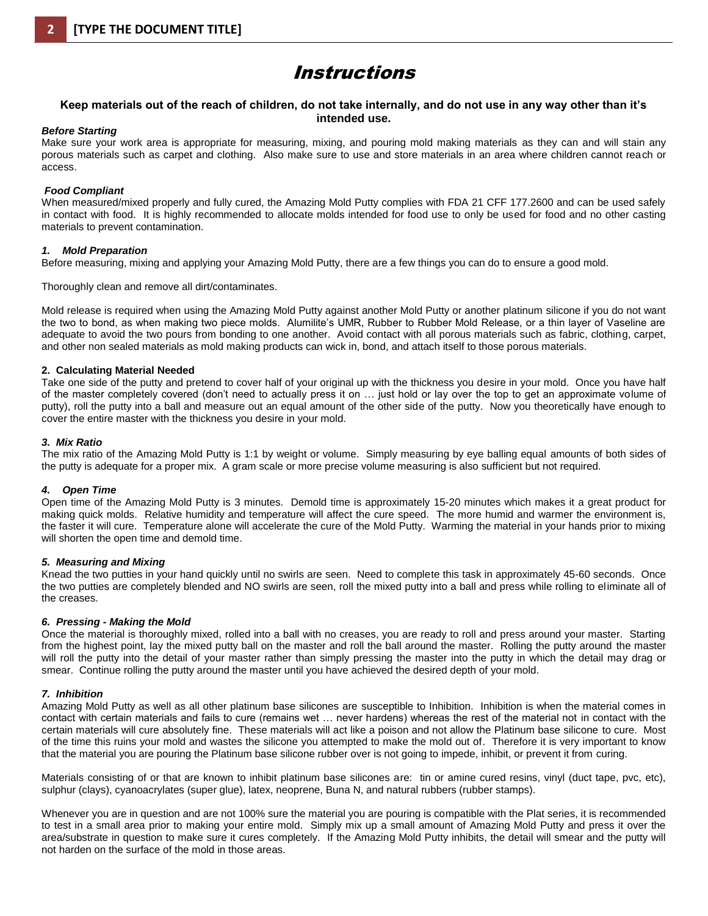# Instructions

#### **Keep materials out of the reach of children, do not take internally, and do not use in any way other than it's intended use.**

#### *Before Starting*

Make sure your work area is appropriate for measuring, mixing, and pouring mold making materials as they can and will stain any porous materials such as carpet and clothing. Also make sure to use and store materials in an area where children cannot reach or access.

#### *Food Compliant*

When measured/mixed properly and fully cured, the Amazing Mold Putty complies with FDA 21 CFF 177.2600 and can be used safely in contact with food. It is highly recommended to allocate molds intended for food use to only be used for food and no other casting materials to prevent contamination.

#### *1. Mold Preparation*

Before measuring, mixing and applying your Amazing Mold Putty, there are a few things you can do to ensure a good mold.

Thoroughly clean and remove all dirt/contaminates.

Mold release is required when using the Amazing Mold Putty against another Mold Putty or another platinum silicone if you do not want the two to bond, as when making two piece molds. Alumilite's UMR, Rubber to Rubber Mold Release, or a thin layer of Vaseline are adequate to avoid the two pours from bonding to one another. Avoid contact with all porous materials such as fabric, clothing, carpet, and other non sealed materials as mold making products can wick in, bond, and attach itself to those porous materials.

#### **2. Calculating Material Needed**

Take one side of the putty and pretend to cover half of your original up with the thickness you desire in your mold. Once you have half of the master completely covered (don't need to actually press it on … just hold or lay over the top to get an approximate volume of putty), roll the putty into a ball and measure out an equal amount of the other side of the putty. Now you theoretically have enough to cover the entire master with the thickness you desire in your mold.

#### *3. Mix Ratio*

The mix ratio of the Amazing Mold Putty is 1:1 by weight or volume. Simply measuring by eye balling equal amounts of both sides of the putty is adequate for a proper mix. A gram scale or more precise volume measuring is also sufficient but not required.

#### *4. Open Time*

Open time of the Amazing Mold Putty is 3 minutes. Demold time is approximately 15-20 minutes which makes it a great product for making quick molds. Relative humidity and temperature will affect the cure speed. The more humid and warmer the environment is, the faster it will cure. Temperature alone will accelerate the cure of the Mold Putty. Warming the material in your hands prior to mixing will shorten the open time and demold time.

#### *5. Measuring and Mixing*

Knead the two putties in your hand quickly until no swirls are seen. Need to complete this task in approximately 45-60 seconds. Once the two putties are completely blended and NO swirls are seen, roll the mixed putty into a ball and press while rolling to eliminate all of the creases.

#### *6. Pressing - Making the Mold*

Once the material is thoroughly mixed, rolled into a ball with no creases, you are ready to roll and press around your master. Starting from the highest point, lay the mixed putty ball on the master and roll the ball around the master. Rolling the putty around the master will roll the putty into the detail of your master rather than simply pressing the master into the putty in which the detail may drag or smear. Continue rolling the putty around the master until you have achieved the desired depth of your mold.

#### *7. Inhibition*

Amazing Mold Putty as well as all other platinum base silicones are susceptible to Inhibition. Inhibition is when the material comes in contact with certain materials and fails to cure (remains wet … never hardens) whereas the rest of the material not in contact with the certain materials will cure absolutely fine. These materials will act like a poison and not allow the Platinum base silicone to cure. Most of the time this ruins your mold and wastes the silicone you attempted to make the mold out of. Therefore it is very important to know that the material you are pouring the Platinum base silicone rubber over is not going to impede, inhibit, or prevent it from curing.

Materials consisting of or that are known to inhibit platinum base silicones are: tin or amine cured resins, vinyl (duct tape, pvc, etc), sulphur (clays), cyanoacrylates (super glue), latex, neoprene, Buna N, and natural rubbers (rubber stamps).

Whenever you are in question and are not 100% sure the material you are pouring is compatible with the Plat series, it is recommended to test in a small area prior to making your entire mold. Simply mix up a small amount of Amazing Mold Putty and press it over the area/substrate in question to make sure it cures completely. If the Amazing Mold Putty inhibits, the detail will smear and the putty will not harden on the surface of the mold in those areas.